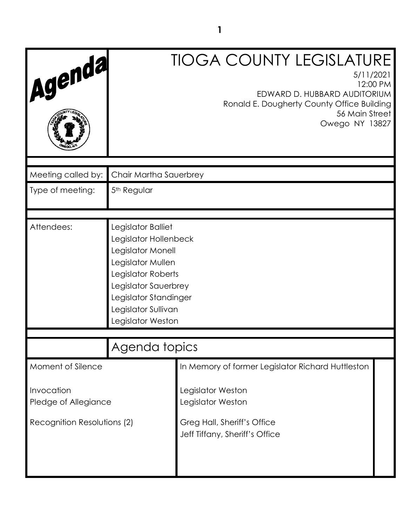| Agenda                                                            |                                                                                                                                                                                                          | <b>TIOGA COUNTY LEGISLATURE</b><br>5/11/2021<br>12:00 PM<br>EDWARD D. HUBBARD AUDITORIUM<br>Ronald E. Dougherty County Office Building<br>56 Main Street<br>Owego NY 13827 |  |
|-------------------------------------------------------------------|----------------------------------------------------------------------------------------------------------------------------------------------------------------------------------------------------------|----------------------------------------------------------------------------------------------------------------------------------------------------------------------------|--|
| Meeting called by:                                                | Chair Martha Sauerbrey                                                                                                                                                                                   |                                                                                                                                                                            |  |
| Type of meeting:                                                  | 5 <sup>th</sup> Regular                                                                                                                                                                                  |                                                                                                                                                                            |  |
| Attendees:                                                        | Legislator Balliet<br>Legislator Hollenbeck<br>Legislator Monell<br>Legislator Mullen<br>Legislator Roberts<br>Legislator Sauerbrey<br>Legislator Standinger<br>Legislator Sullivan<br>Legislator Weston |                                                                                                                                                                            |  |
|                                                                   | Agenda topics                                                                                                                                                                                            |                                                                                                                                                                            |  |
| Moment of Silence                                                 |                                                                                                                                                                                                          | In Memory of former Legislator Richard Huttleston                                                                                                                          |  |
| Invocation<br>Pledge of Allegiance<br>Recognition Resolutions (2) |                                                                                                                                                                                                          | Legislator Weston<br>Legislator Weston<br>Greg Hall, Sheriff's Office<br>Jeff Tiffany, Sheriff's Office                                                                    |  |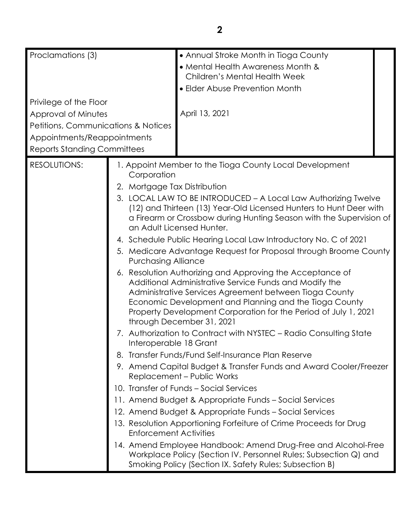| Proclamations (3)                              |                               | • Annual Stroke Month in Tioga County                                                                                       |  |
|------------------------------------------------|-------------------------------|-----------------------------------------------------------------------------------------------------------------------------|--|
|                                                |                               | • Mental Health Awareness Month &                                                                                           |  |
|                                                |                               | Children's Mental Health Week                                                                                               |  |
|                                                |                               | • Elder Abuse Prevention Month                                                                                              |  |
| Privilege of the Floor                         |                               |                                                                                                                             |  |
| Approval of Minutes                            |                               | April 13, 2021                                                                                                              |  |
| <b>Petitions, Communications &amp; Notices</b> |                               |                                                                                                                             |  |
| Appointments/Reappointments                    |                               |                                                                                                                             |  |
| <b>Reports Standing Committees</b>             |                               |                                                                                                                             |  |
| <b>RESOLUTIONS:</b>                            | Corporation                   | 1. Appoint Member to the Tioga County Local Development                                                                     |  |
|                                                | 2. Mortgage Tax Distribution  |                                                                                                                             |  |
|                                                |                               | 3. LOCAL LAW TO BE INTRODUCED - A Local Law Authorizing Twelve                                                              |  |
|                                                |                               | (12) and Thirteen (13) Year-Old Licensed Hunters to Hunt Deer with                                                          |  |
|                                                |                               | a Firearm or Crossbow during Hunting Season with the Supervision of                                                         |  |
|                                                |                               | an Adult Licensed Hunter.                                                                                                   |  |
|                                                |                               | 4. Schedule Public Hearing Local Law Introductory No. C of 2021                                                             |  |
| <b>Purchasing Alliance</b>                     |                               | 5. Medicare Advantage Request for Proposal through Broome County                                                            |  |
|                                                |                               | 6. Resolution Authorizing and Approving the Acceptance of                                                                   |  |
|                                                |                               | Additional Administrative Service Funds and Modify the                                                                      |  |
|                                                |                               | Administrative Services Agreement between Tioga County<br>Economic Development and Planning and the Tioga County            |  |
|                                                |                               | Property Development Corporation for the Period of July 1, 2021                                                             |  |
|                                                |                               | through December 31, 2021                                                                                                   |  |
|                                                | Interoperable 18 Grant        | 7. Authorization to Contract with NYSTEC - Radio Consulting State                                                           |  |
|                                                |                               | 8. Transfer Funds/Fund Self-Insurance Plan Reserve                                                                          |  |
|                                                |                               | 9. Amend Capital Budget & Transfer Funds and Award Cooler/Freezer<br>Replacement - Public Works                             |  |
|                                                |                               | 10. Transfer of Funds - Social Services                                                                                     |  |
|                                                |                               | 11. Amend Budget & Appropriate Funds - Social Services                                                                      |  |
|                                                |                               | 12. Amend Budget & Appropriate Funds – Social Services                                                                      |  |
|                                                | <b>Enforcement Activities</b> | 13. Resolution Apportioning Forfeiture of Crime Proceeds for Drug                                                           |  |
|                                                |                               | 14. Amend Employee Handbook: Amend Drug-Free and Alcohol-Free                                                               |  |
|                                                |                               | Workplace Policy (Section IV. Personnel Rules; Subsection Q) and<br>Smoking Policy (Section IX. Safety Rules; Subsection B) |  |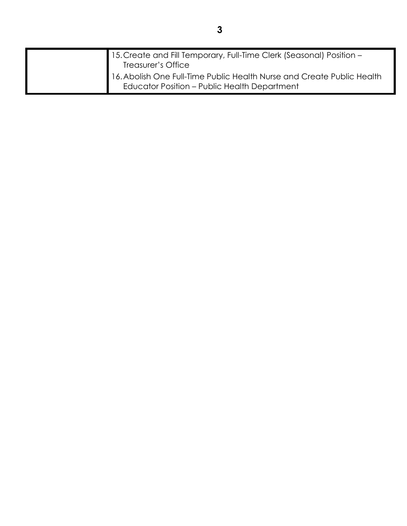| 15. Create and Fill Temporary, Full-Time Clerk (Seasonal) Position -<br>Treasurer's Office                                    |
|-------------------------------------------------------------------------------------------------------------------------------|
| 16. Abolish One Full-Time Public Health Nurse and Create Public Health<br><b>Educator Position - Public Health Department</b> |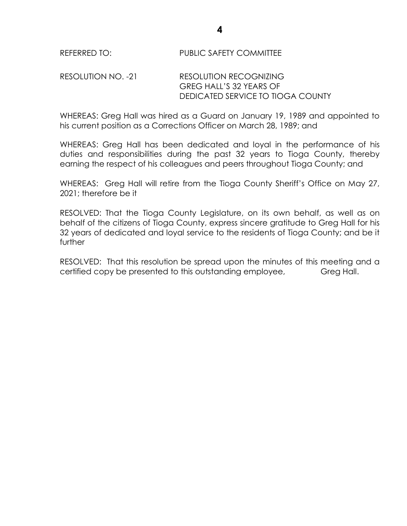# RESOLUTION NO. -21 RESOLUTION RECOGNIZING GREG HALL'S 32 YEARS OF DEDICATED SERVICE TO TIOGA COUNTY

WHEREAS: Greg Hall was hired as a Guard on January 19, 1989 and appointed to his current position as a Corrections Officer on March 28, 1989; and

WHEREAS: Greg Hall has been dedicated and loyal in the performance of his duties and responsibilities during the past 32 years to Tioga County, thereby earning the respect of his colleagues and peers throughout Tioga County; and

WHEREAS: Greg Hall will retire from the Tioga County Sheriff's Office on May 27, 2021; therefore be it

RESOLVED: That the Tioga County Legislature, on its own behalf, as well as on behalf of the citizens of Tioga County, express sincere gratitude to Greg Hall for his 32 years of dedicated and loyal service to the residents of Tioga County; and be it further

RESOLVED: That this resolution be spread upon the minutes of this meeting and a certified copy be presented to this outstanding employee, Greg Hall.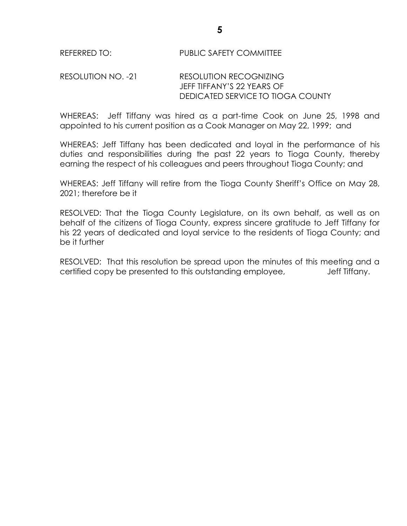# RESOLUTION NO. -21 RESOLUTION RECOGNIZING JEFF TIFFANY'S 22 YEARS OF DEDICATED SERVICE TO TIOGA COUNTY

WHEREAS: Jeff Tiffany was hired as a part-time Cook on June 25, 1998 and appointed to his current position as a Cook Manager on May 22, 1999; and

WHEREAS: Jeff Tiffany has been dedicated and loyal in the performance of his duties and responsibilities during the past 22 years to Tioga County, thereby earning the respect of his colleagues and peers throughout Tioga County; and

WHEREAS: Jeff Tiffany will retire from the Tioga County Sheriff's Office on May 28, 2021; therefore be it

RESOLVED: That the Tioga County Legislature, on its own behalf, as well as on behalf of the citizens of Tioga County, express sincere gratitude to Jeff Tiffany for his 22 years of dedicated and loyal service to the residents of Tioga County; and be it further

RESOLVED: That this resolution be spread upon the minutes of this meeting and a certified copy be presented to this outstanding employee, Solution Jeff Tiffany.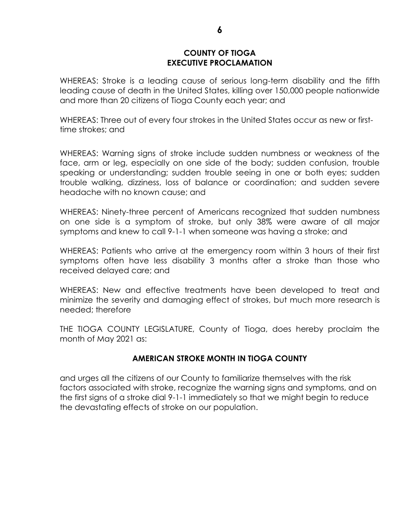#### **COUNTY OF TIOGA EXECUTIVE PROCLAMATION**

WHEREAS: Stroke is a leading cause of serious long-term disability and the fifth leading cause of death in the United States, killing over 150,000 people nationwide and more than 20 citizens of Tioga County each year; and

WHEREAS: Three out of every four strokes in the United States occur as new or firsttime strokes; and

WHEREAS: Warning signs of stroke include sudden numbness or weakness of the face, arm or leg, especially on one side of the body; sudden confusion, trouble speaking or understanding; sudden trouble seeing in one or both eyes; sudden trouble walking, dizziness, loss of balance or coordination; and sudden severe headache with no known cause; and

WHEREAS: Ninety-three percent of Americans recognized that sudden numbness on one side is a symptom of stroke, but only 38% were aware of all major symptoms and knew to call 9-1-1 when someone was having a stroke; and

WHEREAS: Patients who arrive at the emergency room within 3 hours of their first symptoms often have less disability 3 months after a stroke than those who received delayed care; and

WHEREAS: New and effective treatments have been developed to treat and minimize the severity and damaging effect of strokes, but much more research is needed; therefore

THE TIOGA COUNTY LEGISLATURE, County of Tioga, does hereby proclaim the month of May 2021 as:

# **AMERICAN STROKE MONTH IN TIOGA COUNTY**

and urges all the citizens of our County to familiarize themselves with the risk factors associated with stroke, recognize the warning signs and symptoms, and on the first signs of a stroke dial 9-1-1 immediately so that we might begin to reduce the devastating effects of stroke on our population.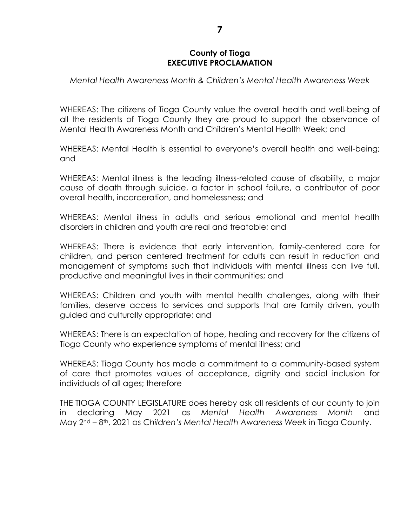#### **County of Tioga EXECUTIVE PROCLAMATION**

*Mental Health Awareness Month & Children's Mental Health Awareness Week* 

WHEREAS: The citizens of Tioga County value the overall health and well-being of all the residents of Tioga County they are proud to support the observance of Mental Health Awareness Month and Children's Mental Health Week; and

WHEREAS: Mental Health is essential to everyone's overall health and well-being; and

WHEREAS: Mental illness is the leading illness-related cause of disability, a major cause of death through suicide, a factor in school failure, a contributor of poor overall health, incarceration, and homelessness; and

WHEREAS: Mental illness in adults and serious emotional and mental health disorders in children and youth are real and treatable; and

WHEREAS: There is evidence that early intervention, family-centered care for children, and person centered treatment for adults can result in reduction and management of symptoms such that individuals with mental illness can live full, productive and meaningful lives in their communities; and

WHEREAS: Children and youth with mental health challenges, along with their families, deserve access to services and supports that are family driven, youth guided and culturally appropriate; and

WHEREAS: There is an expectation of hope, healing and recovery for the citizens of Tioga County who experience symptoms of mental illness; and

WHEREAS: Tioga County has made a commitment to a community-based system of care that promotes values of acceptance, dignity and social inclusion for individuals of all ages; therefore

THE TIOGA COUNTY LEGISLATURE does hereby ask all residents of our county to join in declaring May 2021 as *Mental Health Awareness Month* and May 2nd – 8th, 2021 as *Children's Mental Health Awareness Week* in Tioga County.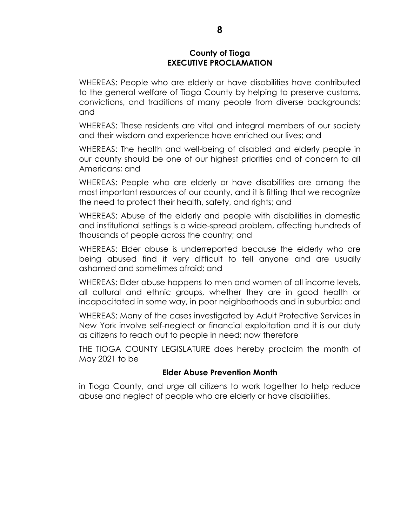#### **County of Tioga EXECUTIVE PROCLAMATION**

WHEREAS: People who are elderly or have disabilities have contributed to the general welfare of Tioga County by helping to preserve customs, convictions, and traditions of many people from diverse backgrounds; and

WHEREAS: These residents are vital and integral members of our society and their wisdom and experience have enriched our lives; and

WHEREAS: The health and well-being of disabled and elderly people in our county should be one of our highest priorities and of concern to all Americans; and

WHEREAS: People who are elderly or have disabilities are among the most important resources of our county, and it is fitting that we recognize the need to protect their health, safety, and rights; and

WHEREAS: Abuse of the elderly and people with disabilities in domestic and institutional settings is a wide-spread problem, affecting hundreds of thousands of people across the country; and

WHEREAS: Elder abuse is underreported because the elderly who are being abused find it very difficult to tell anyone and are usually ashamed and sometimes afraid; and

WHEREAS: Elder abuse happens to men and women of all income levels, all cultural and ethnic groups, whether they are in good health or incapacitated in some way, in poor neighborhoods and in suburbia; and

WHEREAS: Many of the cases investigated by Adult Protective Services in New York involve self-neglect or financial exploitation and it is our duty as citizens to reach out to people in need; now therefore

THE TIOGA COUNTY LEGISLATURE does hereby proclaim the month of May 2021 to be

# **Elder Abuse Prevention Month**

in Tioga County, and urge all citizens to work together to help reduce abuse and neglect of people who are elderly or have disabilities.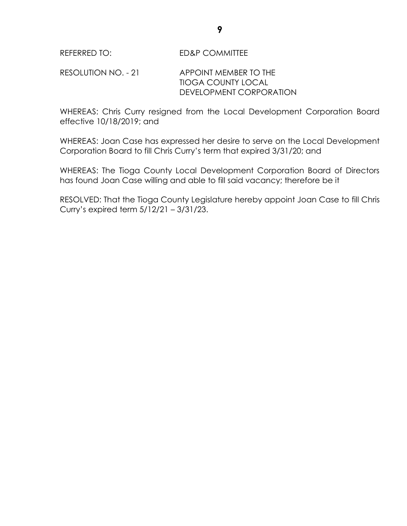RESOLUTION NO. - 21 APPOINT MEMBER TO THE TIOGA COUNTY LOCAL DEVELOPMENT CORPORATION

WHEREAS: Chris Curry resigned from the Local Development Corporation Board effective 10/18/2019; and

WHEREAS: Joan Case has expressed her desire to serve on the Local Development Corporation Board to fill Chris Curry's term that expired 3/31/20; and

WHEREAS: The Tioga County Local Development Corporation Board of Directors has found Joan Case willing and able to fill said vacancy; therefore be it

RESOLVED: That the Tioga County Legislature hereby appoint Joan Case to fill Chris Curry's expired term 5/12/21 – 3/31/23.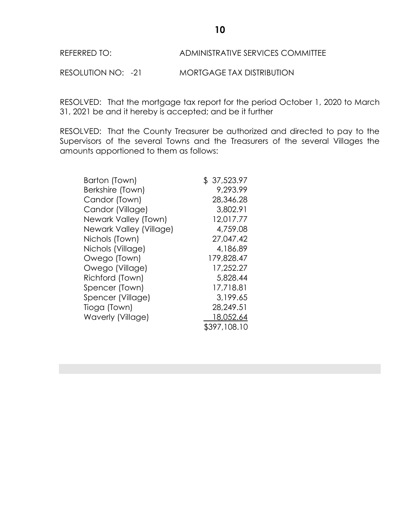#### REFERRED TO: ADMINISTRATIVE SERVICES COMMITTEE

RESOLUTION NO: -21 MORTGAGE TAX DISTRIBUTION

RESOLVED: That the mortgage tax report for the period October 1, 2020 to March 31, 2021 be and it hereby is accepted; and be it further

RESOLVED: That the County Treasurer be authorized and directed to pay to the Supervisors of the several Towns and the Treasurers of the several Villages the amounts apportioned to them as follows:

| Barton (Town)           | \$37,523.97  |
|-------------------------|--------------|
| Berkshire (Town)        | 9,293.99     |
| Candor (Town)           | 28,346.28    |
| Candor (Village)        | 3,802.91     |
| Newark Valley (Town)    | 12,017.77    |
| Newark Valley (Village) | 4,759.08     |
| Nichols (Town)          | 27,047.42    |
| Nichols (Village)       | 4,186.89     |
| Owego (Town)            | 179,828.47   |
| Owego (Village)         | 17,252.27    |
| Richford (Town)         | 5,828.44     |
| Spencer (Town)          | 17,718.81    |
| Spencer (Village)       | 3,199.65     |
| Tioga (Town)            | 28,249.51    |
| Waverly (Village)       | 18,052.64    |
|                         | \$397,108.10 |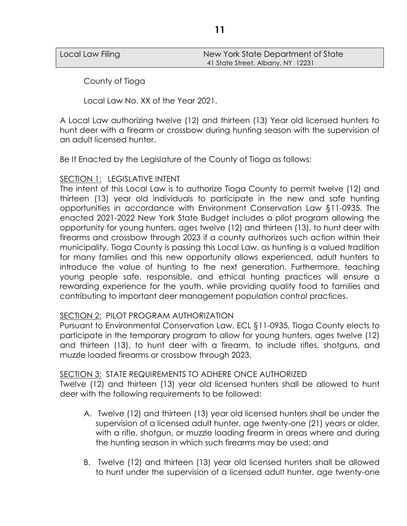| Local Law Filing | New York State Department of State |
|------------------|------------------------------------|
|                  | 41 State Street, Albany, NY 12231  |

County of Tioga

Local Law No. XX of the Year 2021.

A Local Law authorizing twelve (12) and thirteen (13) Year old licensed hunters to hunt deer with a firearm or crossbow during hunting season with the supervision of an adult licensed hunter.

Be It Enacted by the Legislature of the County of Tioga as follows:

# SECTION 1: LEGISLATIVE INTENT

The intent of this Local Law is to authorize Tioga County to permit twelve (12) and thirteen (13) year old individuals to participate in the new and safe hunting opportunities in accordance with Environment Conservation Law §11-0935. The enacted 2021-2022 New York State Budget includes a pilot program allowing the opportunity for young hunters, ages twelve (12) and thirteen (13), to hunt deer with firearms and crossbow through 2023 if a county authorizes such action within their municipality. Tioga County is passing this Local Law, as hunting is a valued tradition for many families and this new opportunity allows experienced, adult hunters to introduce the value of hunting to the next generation. Furthermore, teaching young people safe, responsible, and ethical hunting practices will ensure a rewarding experience for the youth, while providing quality food to families and contributing to important deer management population control practices.

#### SECTION 2: PILOT PROGRAM AUTHORIZATION

Pursuant to Environmental Conservation Law, ECL §11-0935, Tioga County elects to participate in the temporary program to allow for young hunters, ages twelve (12) and thirteen (13), to hunt deer with a firearm, to include rifles, shotguns, and muzzle loaded firearms or crossbow through 2023.

#### SECTION 3: STATE REQUIREMENTS TO ADHERE ONCE AUTHORIZED

Twelve (12) and thirteen (13) year old licensed hunters shall be allowed to hunt deer with the following requirements to be followed:

- A. Twelve (12) and thirteen (13) year old licensed hunters shall be under the supervision of a licensed adult hunter, age twenty-one (21) years or older, with a rifle, shotgun, or muzzle loading firearm in areas where and during the hunting season in which such firearms may be used; and
- B. Twelve (12) and thirteen (13) year old licensed hunters shall be allowed to hunt under the supervision of a licensed adult hunter, age twenty-one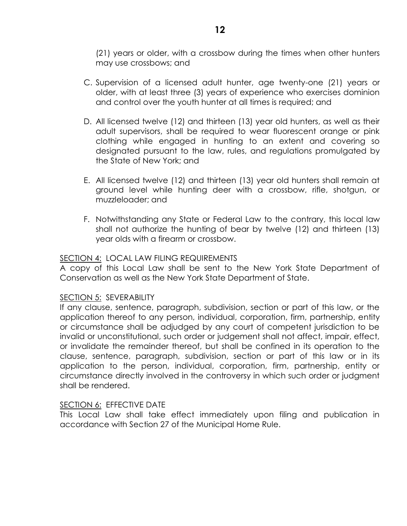(21) years or older, with a crossbow during the times when other hunters may use crossbows; and

- C. Supervision of a licensed adult hunter, age twenty-one (21) years or older, with at least three (3) years of experience who exercises dominion and control over the youth hunter at all times is required; and
- D. All licensed twelve (12) and thirteen (13) year old hunters, as well as their adult supervisors, shall be required to wear fluorescent orange or pink clothing while engaged in hunting to an extent and covering so designated pursuant to the law, rules, and regulations promulgated by the State of New York; and
- E. All licensed twelve (12) and thirteen (13) year old hunters shall remain at ground level while hunting deer with a crossbow, rifle, shotgun, or muzzleloader; and
- F. Notwithstanding any State or Federal Law to the contrary, this local law shall not authorize the hunting of bear by twelve (12) and thirteen (13) year olds with a firearm or crossbow.

# SECTION 4: LOCAL LAW FILING REQUIREMENTS

A copy of this Local Law shall be sent to the New York State Department of Conservation as well as the New York State Department of State.

#### SECTION 5: SEVERABILITY

If any clause, sentence, paragraph, subdivision, section or part of this law, or the application thereof to any person, individual, corporation, firm, partnership, entity or circumstance shall be adjudged by any court of competent jurisdiction to be invalid or unconstitutional, such order or judgement shall not affect, impair, effect, or invalidate the remainder thereof, but shall be confined in its operation to the clause, sentence, paragraph, subdivision, section or part of this law or in its application to the person, individual, corporation, firm, partnership, entity or circumstance directly involved in the controversy in which such order or judgment shall be rendered.

#### SECTION 6: EFFECTIVE DATE

This Local Law shall take effect immediately upon filing and publication in accordance with Section 27 of the Municipal Home Rule.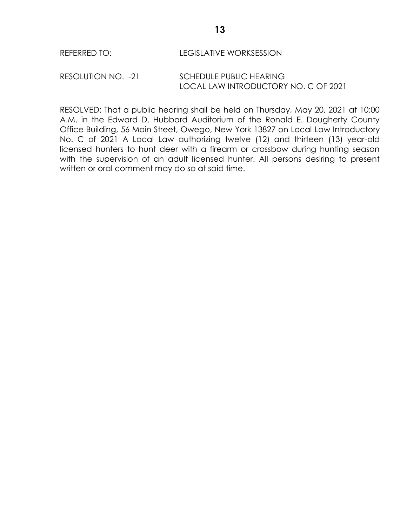#### REFERRED TO: LEGISLATIVE WORKSESSION

RESOLUTION NO. -21 SCHEDULE PUBLIC HEARING LOCAL LAW INTRODUCTORY NO. C OF 2021

RESOLVED: That a public hearing shall be held on Thursday, May 20, 2021 at 10:00 A.M. in the Edward D. Hubbard Auditorium of the Ronald E. Dougherty County Office Building, 56 Main Street, Owego, New York 13827 on Local Law Introductory No. C of 2021 A Local Law authorizing twelve (12) and thirteen (13) year-old licensed hunters to hunt deer with a firearm or crossbow during hunting season with the supervision of an adult licensed hunter. All persons desiring to present written or oral comment may do so at said time.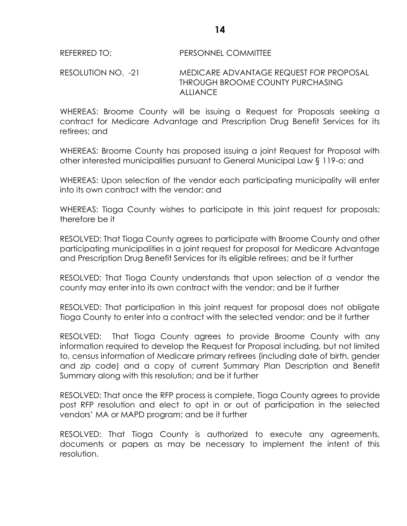#### REFERRED TO: PERSONNEL COMMITTEE

#### RESOLUTION NO. -21 MEDICARE ADVANTAGE REQUEST FOR PROPOSAL THROUGH BROOME COUNTY PURCHASING **ALLIANCE**

WHEREAS: Broome County will be issuing a Request for Proposals seeking a contract for Medicare Advantage and Prescription Drug Benefit Services for its retirees; and

WHEREAS: Broome County has proposed issuing a joint Request for Proposal with other interested municipalities pursuant to General Municipal Law § 119-o; and

WHEREAS: Upon selection of the vendor each participating municipality will enter into its own contract with the vendor; and

WHEREAS: Tioga County wishes to participate in this joint request for proposals; therefore be it

RESOLVED: That Tioga County agrees to participate with Broome County and other participating municipalities in a joint request for proposal for Medicare Advantage and Prescription Drug Benefit Services for its eligible retirees; and be it further

RESOLVED: That Tioga County understands that upon selection of a vendor the county may enter into its own contract with the vendor; and be it further

RESOLVED: That participation in this joint request for proposal does not obligate Tioga County to enter into a contract with the selected vendor; and be it further

RESOLVED: That Tioga County agrees to provide Broome County with any information required to develop the Request for Proposal including, but not limited to, census information of Medicare primary retirees (including date of birth, gender and zip code) and a copy of current Summary Plan Description and Benefit Summary along with this resolution; and be it further

RESOLVED: That once the RFP process is complete, Tioga County agrees to provide post RFP resolution and elect to opt in or out of participation in the selected vendors' MA or MAPD program; and be it further

RESOLVED: That Tioga County is authorized to execute any agreements, documents or papers as may be necessary to implement the intent of this resolution.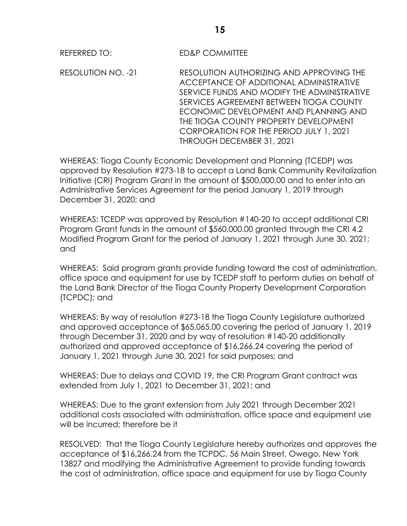REFERRED TO: ED&P COMMITTEE

RESOLUTION NO. -21 RESOLUTION AUTHORIZING AND APPROVING THE ACCEPTANCE OF ADDITIONAL ADMINISTRATIVE SERVICE FUNDS AND MODIFY THE ADMINISTRATIVE SERVICES AGREEMENT BETWEEN TIOGA COUNTY ECONOMIC DEVELOPMENT AND PLANNING AND THE TIOGA COUNTY PROPERTY DEVELOPMENT CORPORATION FOR THE PERIOD JULY 1, 2021 THROUGH DECEMBER 31, 2021

WHEREAS: Tioga County Economic Development and Planning (TCEDP) was approved by Resolution #273-18 to accept a Land Bank Community Revitalization Initiative (CRI) Program Grant in the amount of \$500,000.00 and to enter into an Administrative Services Agreement for the period January 1, 2019 through December 31, 2020; and

WHEREAS: TCEDP was approved by Resolution #140-20 to accept additional CRI Program Grant funds in the amount of \$560,000.00 granted through the CRI 4.2 Modified Program Grant for the period of January 1, 2021 through June 30, 2021; and

WHEREAS: Said program grants provide funding toward the cost of administration, office space and equipment for use by TCEDP staff to perform duties on behalf of the Land Bank Director of the Tioga County Property Development Corporation (TCPDC); and

WHEREAS: By way of resolution #273-18 the Tioga County Legislature authorized and approved acceptance of \$65,065.00 covering the period of January 1, 2019 through December 31, 2020 and by way of resolution #140-20 additionally authorized and approved acceptance of \$16,266.24 covering the period of January 1, 2021 through June 30, 2021 for said purposes; and

WHEREAS: Due to delays and COVID 19, the CRI Program Grant contract was extended from July 1, 2021 to December 31, 2021; and

WHEREAS: Due to the grant extension from July 2021 through December 2021 additional costs associated with administration, office space and equipment use will be incurred; therefore be it

RESOLVED: That the Tioga County Legislature hereby authorizes and approves the acceptance of \$16,266.24 from the TCPDC, 56 Main Street, Owego, New York 13827 and modifying the Administrative Agreement to provide funding towards the cost of administration, office space and equipment for use by Tioga County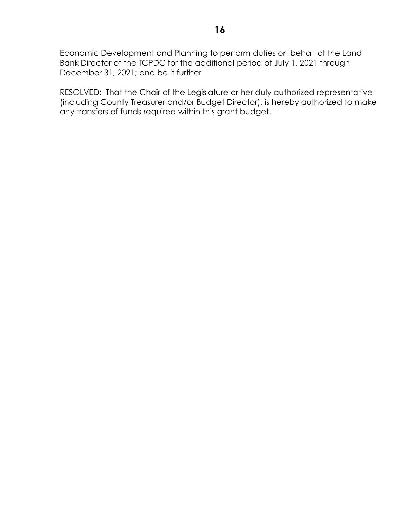Economic Development and Planning to perform duties on behalf of the Land Bank Director of the TCPDC for the additional period of July 1, 2021 through December 31, 2021; and be it further

RESOLVED: That the Chair of the Legislature or her duly authorized representative (including County Treasurer and/or Budget Director), is hereby authorized to make any transfers of funds required within this grant budget.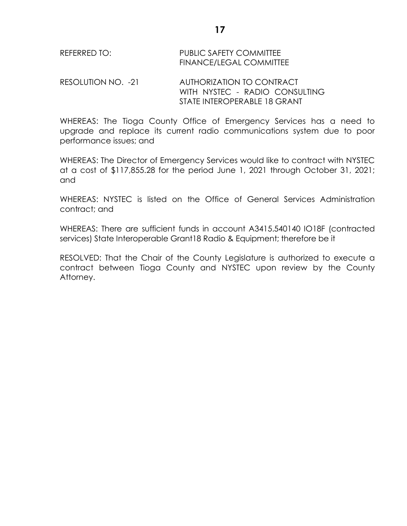RESOLUTION NO. -21 AUTHORIZATION TO CONTRACT WITH NYSTEC - RADIO CONSULTING STATE INTEROPERABLE 18 GRANT

WHEREAS: The Tioga County Office of Emergency Services has a need to upgrade and replace its current radio communications system due to poor performance issues; and

WHEREAS: The Director of Emergency Services would like to contract with NYSTEC at a cost of \$117,855.28 for the period June 1, 2021 through October 31, 2021; and

WHEREAS: NYSTEC is listed on the Office of General Services Administration contract; and

WHEREAS: There are sufficient funds in account A3415.540140 IO18F (contracted services) State Interoperable Grant18 Radio & Equipment; therefore be it

RESOLVED: That the Chair of the County Legislature is authorized to execute a contract between Tioga County and NYSTEC upon review by the County Attorney.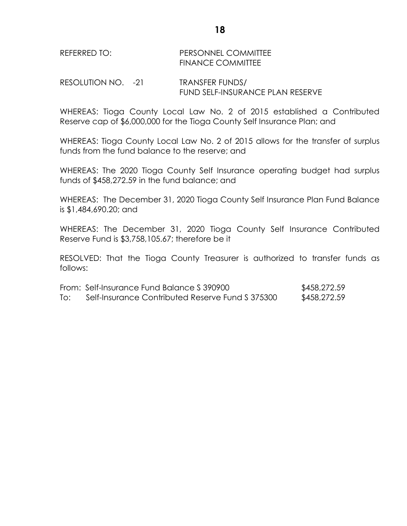#### REFERRED TO: PERSONNEL COMMITTEE FINANCE COMMITTEE

RESOLUTION NO. -21 TRANSFER FUNDS/ FUND SELF-INSURANCE PLAN RESERVE

WHEREAS: Tioga County Local Law No. 2 of 2015 established a Contributed Reserve cap of \$6,000,000 for the Tioga County Self Insurance Plan; and

WHEREAS: Tioga County Local Law No. 2 of 2015 allows for the transfer of surplus funds from the fund balance to the reserve; and

WHEREAS: The 2020 Tioga County Self Insurance operating budget had surplus funds of \$458,272.59 in the fund balance; and

WHEREAS: The December 31, 2020 Tioga County Self Insurance Plan Fund Balance is \$1,484,690.20; and

WHEREAS: The December 31, 2020 Tioga County Self Insurance Contributed Reserve Fund is \$3,758,105.67; therefore be it

RESOLVED: That the Tioga County Treasurer is authorized to transfer funds as follows:

|     | From: Self-Insurance Fund Balance S 390900       | \$458,272.59 |
|-----|--------------------------------------------------|--------------|
| To: | Self-Insurance Contributed Reserve Fund \$375300 | \$458,272.59 |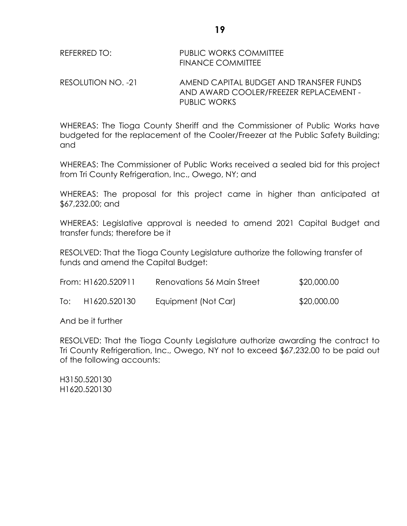# REFERRED TO: PUBLIC WORKS COMMITTEE FINANCE COMMITTEE

RESOLUTION NO. -21 AMEND CAPITAL BUDGET AND TRANSFER FUNDS AND AWARD COOLER/FREEZER REPLACEMENT - PUBLIC WORKS

WHEREAS: The Tioga County Sheriff and the Commissioner of Public Works have budgeted for the replacement of the Cooler/Freezer at the Public Safety Building; and

WHEREAS: The Commissioner of Public Works received a sealed bid for this project from Tri County Refrigeration, Inc., Owego, NY; and

WHEREAS: The proposal for this project came in higher than anticipated at \$67,232.00; and

WHEREAS: Legislative approval is needed to amend 2021 Capital Budget and transfer funds; therefore be it

RESOLVED: That the Tioga County Legislature authorize the following transfer of funds and amend the Capital Budget:

|     | From: H1620.520911 | Renovations 56 Main Street | \$20,000.00 |
|-----|--------------------|----------------------------|-------------|
| To: | H1620.520130       | Equipment (Not Car)        | \$20,000.00 |

And be it further

RESOLVED: That the Tioga County Legislature authorize awarding the contract to Tri County Refrigeration, Inc., Owego, NY not to exceed \$67,232.00 to be paid out of the following accounts:

H3150.520130 H1620.520130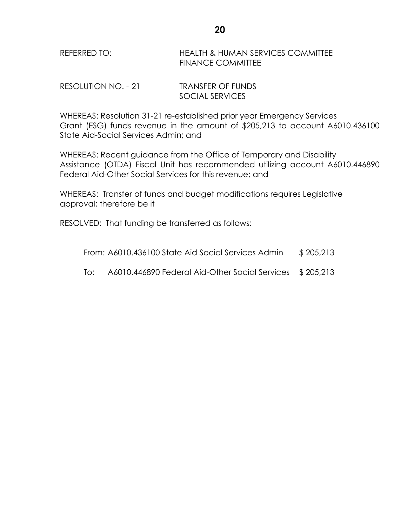# REFERRED TO: HEALTH & HUMAN SERVICES COMMITTEE FINANCE COMMITTEE

RESOLUTION NO. - 21 TRANSFER OF FUNDS SOCIAL SERVICES

WHEREAS: Resolution 31-21 re-established prior year Emergency Services Grant (ESG) funds revenue in the amount of \$205,213 to account A6010.436100 State Aid-Social Services Admin; and

WHEREAS: Recent guidance from the Office of Temporary and Disability Assistance (OTDA) Fiscal Unit has recommended utilizing account A6010.446890 Federal Aid-Other Social Services for this revenue; and

WHEREAS: Transfer of funds and budget modifications requires Legislative approval; therefore be it

RESOLVED: That funding be transferred as follows:

| From: A6010.436100 State Aid Social Services Admin | \$205,213 |
|----------------------------------------------------|-----------|
|----------------------------------------------------|-----------|

To: A6010.446890 Federal Aid-Other Social Services \$ 205,213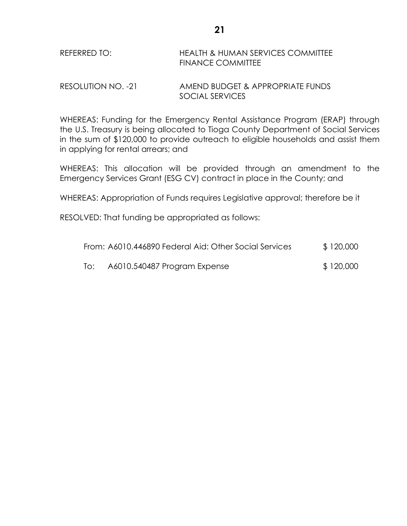# REFERRED TO: HEALTH & HUMAN SERVICES COMMITTEE FINANCE COMMITTEE

RESOLUTION NO. -21 AMEND BUDGET & APPROPRIATE FUNDS SOCIAL SERVICES

WHEREAS: Funding for the Emergency Rental Assistance Program (ERAP) through the U.S. Treasury is being allocated to Tioga County Department of Social Services in the sum of \$120,000 to provide outreach to eligible households and assist them in applying for rental arrears; and

WHEREAS: This allocation will be provided through an amendment to the Emergency Services Grant (ESG CV) contract in place in the County; and

WHEREAS: Appropriation of Funds requires Legislative approval; therefore be it

RESOLVED: That funding be appropriated as follows:

|     | From: A6010.446890 Federal Aid: Other Social Services | \$120,000 |
|-----|-------------------------------------------------------|-----------|
| To: | A6010.540487 Program Expense                          | \$120,000 |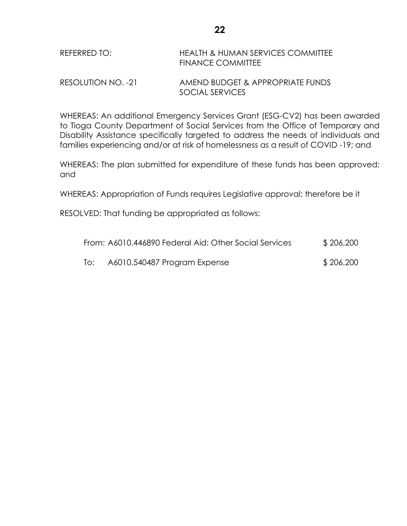# REFERRED TO: HEALTH & HUMAN SERVICES COMMITTEE FINANCE COMMITTEE

# RESOLUTION NO. -21 AMEND BUDGET & APPROPRIATE FUNDS SOCIAL SERVICES

WHEREAS: An additional Emergency Services Grant (ESG-CV2) has been awarded to Tioga County Department of Social Services from the Office of Temporary and Disability Assistance specifically targeted to address the needs of individuals and families experiencing and/or at risk of homelessness as a result of COVID -19; and

WHEREAS: The plan submitted for expenditure of these funds has been approved; and

WHEREAS: Appropriation of Funds requires Legislative approval; therefore be it

RESOLVED: That funding be appropriated as follows:

|     | From: A6010.446890 Federal Aid: Other Social Services | \$206,200 |
|-----|-------------------------------------------------------|-----------|
| lo: | A6010.540487 Program Expense                          | \$206,200 |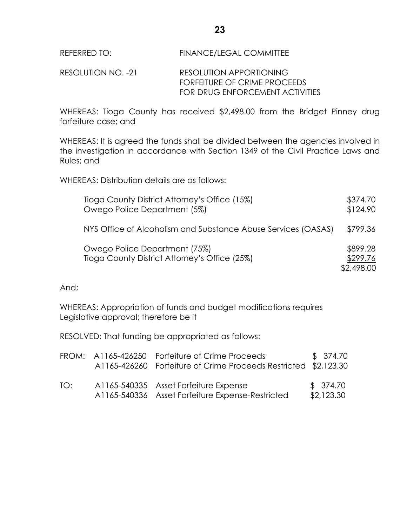#### REFERRED TO: FINANCE/LEGAL COMMITTEE

#### RESOLUTION NO. -21 RESOLUTION APPORTIONING FORFEITURE OF CRIME PROCEEDS FOR DRUG ENFORCEMENT ACTIVITIES

WHEREAS: Tioga County has received \$2,498.00 from the Bridget Pinney drug forfeiture case; and

WHEREAS: It is agreed the funds shall be divided between the agencies involved in the investigation in accordance with Section 1349 of the Civil Practice Laws and Rules; and

WHEREAS: Distribution details are as follows:

| Tioga County District Attorney's Office (15%)<br>Owego Police Department (5%)  | \$374.70<br>\$124.90               |
|--------------------------------------------------------------------------------|------------------------------------|
| NYS Office of Alcoholism and Substance Abuse Services (OASAS)                  | \$799.36                           |
| Owego Police Department (75%)<br>Tioga County District Attorney's Office (25%) | \$899.28<br>\$299.76<br>\$2,498.00 |

And;

WHEREAS: Appropriation of funds and budget modifications requires Legislative approval; therefore be it

RESOLVED: That funding be appropriated as follows:

|     | FROM: A1165-426250 Forfeiture of Crime Proceeds<br>A1165-426260 Forfeiture of Crime Proceeds Restricted \$2,123.30 | \$ 374.70              |
|-----|--------------------------------------------------------------------------------------------------------------------|------------------------|
| TO: | A1165-540335 Asset Forfeiture Expense<br>A1165-540336 Asset Forfeiture Expense-Restricted                          | \$374.70<br>\$2,123.30 |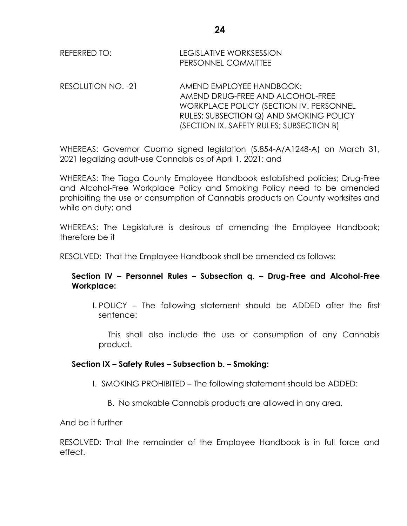| REFERRED TO: | LEGISLATIVE WORKSESSION |
|--------------|-------------------------|
|              | PERSONNEL COMMITTEE     |

RESOLUTION NO. -21 AMEND EMPLOYEE HANDBOOK: AMEND DRUG-FREE AND ALCOHOL-FREE WORKPLACE POLICY (SECTION IV. PERSONNEL RULES; SUBSECTION Q) AND SMOKING POLICY (SECTION IX. SAFETY RULES; SUBSECTION B)

WHEREAS: Governor Cuomo signed legislation (S.854-A/A1248-A) on March 31, 2021 legalizing adult-use Cannabis as of April 1, 2021; and

WHEREAS: The Tioga County Employee Handbook established policies; Drug-Free and Alcohol-Free Workplace Policy and Smoking Policy need to be amended prohibiting the use or consumption of Cannabis products on County worksites and while on duty; and

WHEREAS: The Legislature is desirous of amending the Employee Handbook; therefore be it

RESOLVED: That the Employee Handbook shall be amended as follows:

# **Section IV – Personnel Rules – Subsection q. – Drug-Free and Alcohol-Free Workplace:**

I. POLICY – The following statement should be ADDED after the first sentence:

This shall also include the use or consumption of any Cannabis product.

# **Section IX – Safety Rules – Subsection b. – Smoking:**

- I. SMOKING PROHIBITED The following statement should be ADDED:
	- B. No smokable Cannabis products are allowed in any area.

And be it further

RESOLVED: That the remainder of the Employee Handbook is in full force and effect.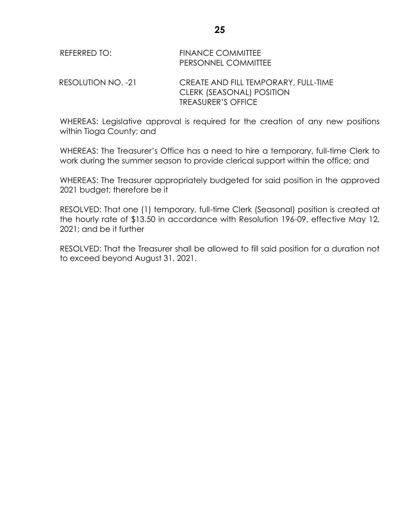| REFERRED TO:       | <b>FINANCE COMMITTEE</b><br>PERSONNEL COMMITTEE                   |
|--------------------|-------------------------------------------------------------------|
| RESOLUTION NO. -21 | CREATE AND FILL TEMPORARY, FULL-TIME<br>CLERK (SEASONAL) POSITION |
|                    | <b>TREASURER'S OFFICE</b>                                         |

WHEREAS: Legislative approval is required for the creation of any new positions within Tioga County; and

WHEREAS: The Treasurer's Office has a need to hire a temporary, full-time Clerk to work during the summer season to provide clerical support within the office; and

WHEREAS: The Treasurer appropriately budgeted for said position in the approved 2021 budget; therefore be it

RESOLVED: That one (1) temporary, full-time Clerk (Seasonal) position is created at the hourly rate of \$13.50 in accordance with Resolution 196-09, effective May 12, 2021; and be it further

RESOLVED: That the Treasurer shall be allowed to fill said position for a duration not to exceed beyond August 31, 2021.